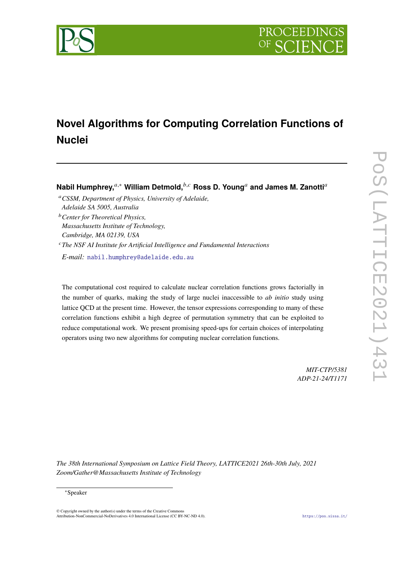



# **Novel Algorithms for Computing Correlation Functions of Nuclei**

**Nabil Humphrey,**<sup>*a*,∗</sup> William Detmold,<sup>*b,c*</sup> Ross D. Young<sup>*a*</sup> and James M. Zanotti<sup>*a*</sup>

<sup>c</sup>The NSF AI Institute for Artificial Intelligence and Fundamental Interactions

*E-mail:* [nabil.humphrey@adelaide.edu.au](mailto:nabil.humphrey@adelaide.edu.au)

The computational cost required to calculate nuclear correlation functions grows factorially in the number of quarks, making the study of large nuclei inaccessible to *ab initio* study using lattice QCD at the present time. However, the tensor expressions corresponding to many of these correlation functions exhibit a high degree of permutation symmetry that can be exploited to reduce computational work. We present promising speed-ups for certain choices of interpolating operators using two new algorithms for computing nuclear correlation functions.

> *MIT-CTP/5381 ADP-21-24/T1171*

*The 38th International Symposium on Lattice Field Theory, LATTICE2021 26th-30th July, 2021 Zoom/Gather@Massachusetts Institute of Technology*

© Copyright owned by the author(s) under the terms of the Creative Commons Attribution-NonCommercial-NoDerivatives 4.0 International License (CC BY-NC-ND 4.0). <https://pos.sissa.it/>

<sup>𝑎</sup>*CSSM, Department of Physics, University of Adelaide, Adelaide SA 5005, Australia*

<sup>𝑏</sup>*Center for Theoretical Physics, Massachusetts Institute of Technology, Cambridge, MA 02139, USA*

<sup>∗</sup>Speaker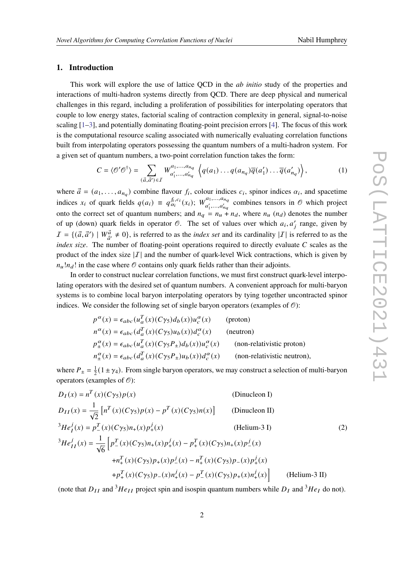# **1. Introduction**

This work will explore the use of lattice QCD in the *ab initio* study of the properties and interactions of multi-hadron systems directly from QCD. There are deep physical and numerical challenges in this regard, including a proliferation of possibilities for interpolating operators that couple to low energy states, factorial scaling of contraction complexity in general, signal-to-noise scaling  $[1-3]$  $[1-3]$ , and potentially dominating floating-point precision errors  $[4]$ . The focus of this work is the computational resource scaling associated with numerically evaluating correlation functions built from interpolating operators possessing the quantum numbers of a multi-hadron system. For a given set of quantum numbers, a two-point correlation function takes the form:

$$
C = \langle \mathcal{O}' \mathcal{O}^{\dagger} \rangle = \sum_{\substack{(\vec{a}, \vec{a}') \in I}} W^{a_1, \dots, a_{n_q}}_{a'_1, \dots, a'_{n_q}} \left\langle q(a_1) \dots q(a_{n_q}) \overline{q}(a'_1) \dots \overline{q}(a'_{n_q}) \right\rangle, \tag{1}
$$

where  $\vec{a} = (a_1, \ldots, a_{n_q})$  combine flavour  $f_i$ , colour indices  $c_i$ , spinor indices  $\alpha_i$ , and spacetime indices  $x_i$  of quark fields  $q(a_i) \equiv q_{\alpha_i}^{f_i, c_i}(x_i);$   $W_{\alpha'}^{a_1, \dots, a_{n_q}}$  $a'_1,..., a'_{nq}$  combines tensors in  $\odot$  which project onto the correct set of quantum numbers; and  $n_q = n_u + n_d$ , where  $n_u$  ( $n_d$ ) denotes the number of up (down) quark fields in operator  $\mathcal O$ . The set of values over which  $a_i, a'_i$  range, given by  $I = \{(\vec{a}, \vec{a}') \mid W_{\vec{a}'}^{\vec{a}} \neq 0\}$ , is referred to as the *index set* and its cardinality  $|I|$  is referred to as the *index size*. The number of floating-point operations required to directly evaluate  $C$  scales as the product of the index size  $|I|$  and the number of quark-level Wick contractions, which is given by  $n_u!n_d!$  in the case where  $\mathcal O$  contains only quark fields rather than their adjoints.

In order to construct nuclear correlation functions, we must first construct quark-level interpolating operators with the desired set of quantum numbers. A convenient approach for multi-baryon systems is to combine local baryon interpolating operators by tying together uncontracted spinor indices. We consider the following set of single baryon operators (examples of  $\mathcal{O}$ ):

<span id="page-1-0"></span>

| $p^{\alpha}(x) = \epsilon_{abc}(u_a^T(x)(C\gamma_5)d_b(x))u_c^{\alpha}(x)$                   | (proton)                    |
|----------------------------------------------------------------------------------------------|-----------------------------|
| $n^{\alpha}(x) = \epsilon_{abc} (d_a^T(x) (C\gamma_5) u_b(x)) d_c^{\alpha}(x)$               | (neutron)                   |
| $p_{+}^{\alpha}(x) = \epsilon_{abc} (u_a^T(x) (C\gamma_5 P_{\pm}) d_b(x)) u_c^{\alpha}(x)$   | (non-relativistic proton)   |
| $n_{\pm}^{\alpha}(x) = \epsilon_{abc} (d_a^T(x) (C\gamma_5 P_{\pm}) u_b(x)) d_c^{\alpha}(x)$ | (non-relativistic neutron), |

where  $P_{\pm} = \frac{1}{2}$  $\frac{1}{2}(1 \pm \gamma_4)$ . From single baryon operators, we may construct a selection of multi-baryon operators (examples of  $\mathcal{O}$ ):

$$
D_{I}(x) = n^{T}(x)(C\gamma_{5})p(x)
$$
 (Dinucleon I)  
\n
$$
D_{II}(x) = \frac{1}{\sqrt{2}} [n^{T}(x)(C\gamma_{5})p(x) - p^{T}(x)(C\gamma_{5})n(x)]
$$
 (Dinucleon II)  
\n
$$
{}^{3}He_{I}^{j}(x) = p_{-}^{T}(x)(C\gamma_{5})n_{+}(x)p_{+}^{j}(x)
$$
 (Helium-3 I)  
\n
$$
{}^{3}He_{II}^{j}(x) = \frac{1}{\sqrt{6}} [p_{-}^{T}(x)(C\gamma_{5})n_{+}(x)p_{+}^{j}(x) - p_{+}^{T}(x)(C\gamma_{5})n_{+}(x)p_{-}^{j}(x)
$$
  
\n
$$
+n_{+}^{T}(x)(C\gamma_{5})p_{+}(x)p_{-}^{j}(x) - n_{+}^{T}(x)(C\gamma_{5})p_{+}(x)p_{+}^{j}(x)
$$
  
\n
$$
+p_{+}^{T}(x)(C\gamma_{5})p_{-}(x)n_{+}^{j}(x) - p_{-}^{T}(x)(C\gamma_{5})p_{+}(x)n_{+}^{j}(x)
$$
 (Helium-3 II)

(note that  $D_{II}$  and  ${}^{3}He_{II}$  project spin and isospin quantum numbers while  $D_{I}$  and  ${}^{3}He_{I}$  do not).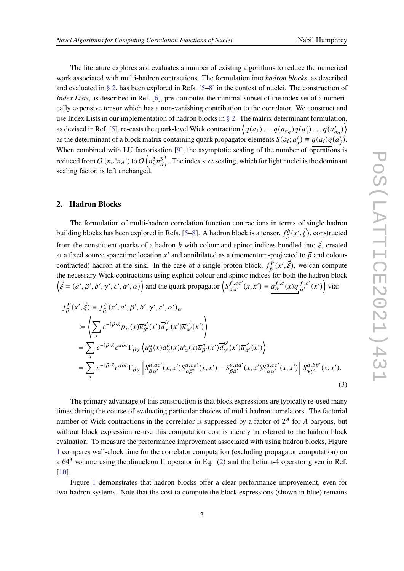The literature explores and evaluates a number of existing algorithms to reduce the numerical work associated with multi-hadron contractions. The formulation into *hadron blocks*, as described and evaluated in [§ 2,](#page-2-0) has been explored in Refs. [\[5](#page-9-3)[–8\]](#page-9-4) in the context of nuclei. The construction of *Index Lists*, as described in Ref. [\[6\]](#page-9-5), pre-computes the minimal subset of the index set of a numerically expensive tensor which has a non-vanishing contribution to the correlator. We construct and use Index Lists in our implementation of hadron blocks in  $\S 2$ . The matrix determinant formulation, as devised in Ref. [\[5\]](#page-9-3), re-casts the quark-level Wick contraction  $\left\langle q(a_1) \dots q(a_{n_q}) \overline{q}(a'_1) \dots \overline{q}(a'_n) \right\rangle$  $\overline{q}(a'_{n_q})$ as the determinant of a block matrix containing quark propagator elements  $S(a_i; a'_i) \equiv q(a_i) \overline{q(a'_i)}$ . When combined with LU factorisation [\[9\]](#page-10-0), the asymptotic scaling of the number of operations is reduced from  $O(n_u!n_d!)$  to  $O(n_u^3n_d^3)$ . The index size scaling, which for light nuclei is the dominant scaling factor, is left unchanged.

# <span id="page-2-0"></span>**2. Hadron Blocks**

The formulation of multi-hadron correlation function contractions in terms of single hadron building blocks has been explored in Refs. [\[5](#page-9-3)[–8\]](#page-9-4). A hadron block is a tensor,  $f_{\vec{n}}^h$  $\vec{p}^{h}(x',\vec{\xi})$ , constructed from the constituent quarks of a hadron h with colour and spinor indices bundled into  $\vec{\xi}$ , created at a fixed source spacetime location x' and annihilated as a (momentum-projected to  $\vec{p}$  and colourcontracted) hadron at the sink. In the case of a single proton block,  $f_{\vec{n}}^P$  $\vec{p}^P(x', \vec{\xi})$ , we can compute the necessary Wick contractions using explicit colour and spinor indices for both the hadron block  $(\vec{\xi} = (a', \beta', b', \gamma', c', \alpha', \alpha))$  and the quark propagator  $\left( S_{\alpha \alpha'}^{f, cc'}(x, x') \equiv q_{\alpha}^{f, c'}(x) \overline{q}_{\alpha'}^{f, c'}(x') \right)$  via:

$$
f_{\vec{p}}^{P}(x',\vec{\xi}) \equiv f_{\vec{p}}^{P}(x',a',\beta',b',\gamma',c',\alpha')_{\alpha}
$$
  
\n
$$
\coloneqq \left\langle \sum_{x} e^{-i\vec{p}\cdot\vec{x}} p_{\alpha}(x) \overline{u}_{\beta'}^{a'}(x') \overline{d}_{\gamma'}^{b'}(x') \overline{u}_{\alpha'}^{c'}(x') \right\rangle
$$
  
\n
$$
= \sum_{x} e^{-i\vec{p}\cdot\vec{x}} \epsilon^{abc} \Gamma_{\beta\gamma} \left\langle u_{\beta}^{a}(x) d_{\gamma}^{b}(x) u_{\alpha}^{c}(x) \overline{u}_{\beta'}^{a'}(x') \overline{d}_{\gamma'}^{b'}(x') \overline{u}_{\alpha'}^{c'}(x') \right\rangle
$$
  
\n
$$
= \sum_{x} e^{-i\vec{p}\cdot\vec{x}} \epsilon^{abc} \Gamma_{\beta\gamma} \left[ S_{\beta\alpha'}^{u,ac'}(x,x') S_{\alpha\beta'}^{u,ca'}(x,x') - S_{\beta\beta'}^{u,aa'}(x,x') S_{\alpha\alpha'}^{u,cc'}(x,x') \right] S_{\gamma\gamma'}^{d,bb'}(x,x').
$$
\n(3)

The primary advantage of this construction is that block expressions are typically re-used many times during the course of evaluating particular choices of multi-hadron correlators. The factorial number of Wick contractions in the correlator is suppressed by a factor of  $2^A$  for A baryons, but without block expression re-use this computation cost is merely transferred to the hadron block evaluation. To measure the performance improvement associated with using hadron blocks, Figure [1](#page-3-0) compares wall-clock time for the correlator computation (excluding propagator computation) on a  $64<sup>3</sup>$  volume using the dinucleon II operator in Eq. [\(2\)](#page-1-0) and the helium-4 operator given in Ref. [\[10\]](#page-10-1).

Figure [1](#page-3-0) demonstrates that hadron blocks offer a clear performance improvement, even for two-hadron systems. Note that the cost to compute the block expressions (shown in blue) remains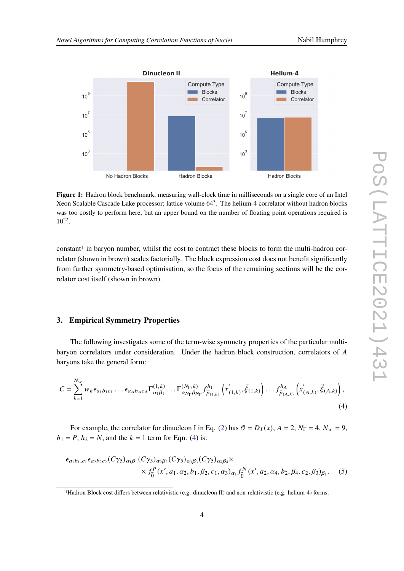<span id="page-3-0"></span>

**Figure 1:** Hadron block benchmark, measuring wall-clock time in milliseconds on a single core of an Intel Xeon Scalable Cascade Lake processor; lattice volume  $64<sup>3</sup>$ . The helium-4 correlator without hadron blocks was too costly to perform here, but an upper bound on the number of floating point operations required is  $10^{22}$ .

 $constant<sup>1</sup>$  $constant<sup>1</sup>$  $constant<sup>1</sup>$  in baryon number, whilst the cost to contract these blocks to form the multi-hadron correlator (shown in brown) scales factorially. The block expression cost does not benefit significantly from further symmetry-based optimisation, so the focus of the remaining sections will be the correlator cost itself (shown in brown).

#### <span id="page-3-3"></span>**3. Empirical Symmetry Properties**

The following investigates some of the term-wise symmetry properties of the particular multibaryon correlators under consideration. Under the hadron block construction, correlators of A baryons take the general form:

$$
C = \sum_{k=1}^{N_w} w_k \epsilon_{a_1 b_1 c_1} \dots \epsilon_{a_A b_A c_A} \Gamma_{\alpha_1 \beta_1}^{(1,k)} \dots \Gamma_{\alpha_{N_{\Gamma}} \beta_{N_{\Gamma}}}^{(N_{\Gamma},k)} f_{\vec{p}_{(1,k)}}^{h_1} \left( x'_{(1,k)}, \vec{\xi}_{(1,k)} \right) \dots f_{\vec{p}_{(A,k)}}^{h_A} \left( x'_{(A,k)}, \vec{\xi}_{(A,k)} \right), \tag{4}
$$

For example, the correlator for dinucleon I in Eq. [\(2\)](#page-1-0) has  $\mathcal{O} = D_I(x)$ ,  $A = 2$ ,  $N_\Gamma = 4$ ,  $N_w = 9$ ,  $h_1 = P$ ,  $h_2 = N$ , and the  $k = 1$  term for Eqn. [\(4\)](#page-3-2) is:

<span id="page-3-2"></span>
$$
\epsilon_{a_1b_1,c_1}\epsilon_{a_2b_2c_2}(C\gamma_5)_{\alpha_1\beta_1}(C\gamma_5)_{\alpha_2\beta_2}(C\gamma_5)_{\alpha_3\beta_3}(C\gamma_5)_{\alpha_4\beta_4}\times
$$
  
 
$$
\times f_0^P(x',a_1,a_2,b_1,\beta_2,c_1,a_3)_{\alpha_1}f_0^N(x',a_2,a_4,b_2,\beta_4,c_2,\beta_3)_{\beta_1}.
$$
 (5)

<span id="page-3-1"></span><sup>1</sup>Hadron Block cost differs between relativistic (e.g. dinucleon II) and non-relativistic (e.g. helium-4) forms.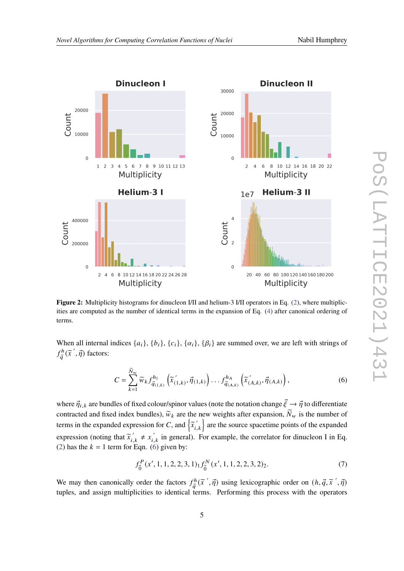<span id="page-4-1"></span>

**Figure 2:** Multiplicity histograms for dinucleon I/II and helium-3 I/II operators in Eq. [\(2\)](#page-1-0), where multiplicities are computed as the number of identical terms in the expansion of Eq. [\(4\)](#page-3-2) after canonical ordering of terms.

When all internal indices  $\{a_i\}$ ,  $\{b_i\}$ ,  $\{c_i\}$ ,  $\{\alpha_i\}$ ,  $\{\beta_i\}$  are summed over, we are left with strings of  $f^h$  $\frac{ch}{\vec{q}}(\tilde{x}', \vec{\eta})$  factors:

$$
C = \sum_{k=1}^{\widetilde{N}_{w}} \widetilde{w}_{k} f_{\vec{q}_{(1,k)}}^{h_{1}} \left( \widetilde{x}_{(1,k)}', \vec{\eta}_{(1,k)} \right) \dots f_{\vec{q}_{(A,k)}}^{h_{A}} \left( \widetilde{x}_{(A,k)}', \vec{\eta}_{(A,k)} \right), \tag{6}
$$

where  $\vec{\eta}_{i,k}$  are bundles of fixed colour/spinor values (note the notation change  $\vec{\xi} \to \vec{\eta}$  to differentiate contracted and fixed index bundles),  $\tilde{w}_k$  are the new weights after expansion,  $\tilde{N}_w$  is the number of terms in the expanded expression for C, and  $\left\{ \tilde{x}_{i,k} \right\}$  are the source spacetime points of the expanded expression (noting that  $\tilde{x}_{i,k}^{\prime} \neq x_{i,k}^{\prime}$  in general). For example, the correlator for dinucleon I in Eq. [\(2\)](#page-1-0) has the  $k = 1$  term for Eqn. [\(6\)](#page-4-0) given by:

<span id="page-4-0"></span>
$$
f_{\vec{0}}^P(x', 1, 1, 2, 2, 3, 1)_1 f_{\vec{0}}^N(x', 1, 1, 2, 2, 3, 2)_2.
$$
 (7)

We may then canonically order the factors  $f_a^h$  $\vec{q}(\vec{x}', \vec{\eta})$  using lexicographic order on  $(h, \vec{q}, \vec{x}', \vec{\eta})$ tuples, and assign multiplicities to identical terms. Performing this process with the operators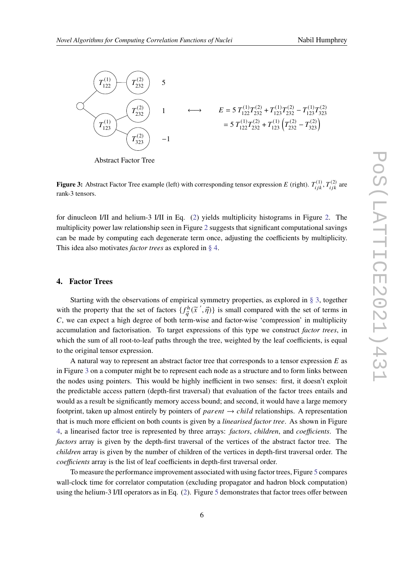<span id="page-5-1"></span>

Abstract Factor Tree

**Figure 3:** Abstract Factor Tree example (left) with corresponding tensor expression E (right).  $T_{iik}^{(1)}$ ,  $T_{iik}^{(2)}$  are rank-3 tensors.

for dinucleon I/II and helium-3 I/II in Eq. [\(2\)](#page-1-0) yields multiplicity histograms in Figure [2.](#page-4-1) The multiplicity power law relationship seen in Figure [2](#page-4-1) suggests that significant computational savings can be made by computing each degenerate term once, adjusting the coefficients by multiplicity. This idea also motivates *factor trees* as explored in [§ 4.](#page-5-0)

#### <span id="page-5-0"></span>**4. Factor Trees**

Starting with the observations of empirical symmetry properties, as explored in [§ 3,](#page-3-3) together with the property that the set of factors  $\{f_a^h\}$  $\{\vec{q}^{ch}(\vec{x}',\vec{\eta})\}$  is small compared with the set of terms in  $C$ , we can expect a high degree of both term-wise and factor-wise 'compression' in multiplicity accumulation and factorisation. To target expressions of this type we construct *factor trees*, in which the sum of all root-to-leaf paths through the tree, weighted by the leaf coefficients, is equal to the original tensor expression.

A natural way to represent an abstract factor tree that corresponds to a tensor expression  $E$  as in Figure [3](#page-5-1) on a computer might be to represent each node as a structure and to form links between the nodes using pointers. This would be highly inefficient in two senses: first, it doesn't exploit the predictable access pattern (depth-first traversal) that evaluation of the factor trees entails and would as a result be significantly memory access bound; and second, it would have a large memory footprint, taken up almost entirely by pointers of  $parent \rightarrow child$  relationships. A representation that is much more efficient on both counts is given by a *linearised factor tree*. As shown in Figure [4,](#page-6-0) a linearised factor tree is represented by three arrays: *factors*, *children*, and *coefficients*. The *factors* array is given by the depth-first traversal of the vertices of the abstract factor tree. The *children* array is given by the number of children of the vertices in depth-first traversal order. The *coefficients* array is the list of leaf coefficients in depth-first traversal order.

To measure the performance improvement associated with using factor trees, Figure [5](#page-6-1) compares wall-clock time for correlator computation (excluding propagator and hadron block computation) using the helium-3 I/II operators as in Eq. [\(2\)](#page-1-0). Figure [5](#page-6-1) demonstrates that factor trees offer between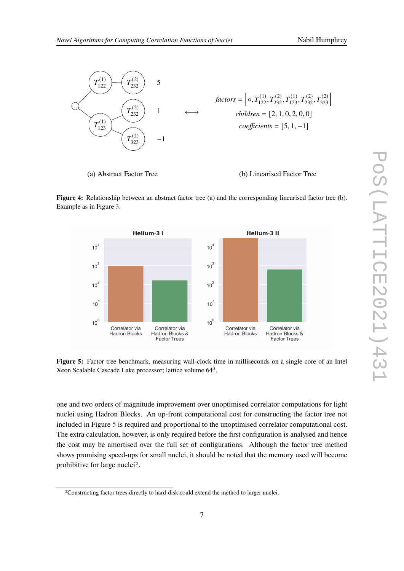<span id="page-6-0"></span>

(a) Abstract Factor Tree (b) Linearised Factor Tree

**Figure 4:** Relationship between an abstract factor tree (a) and the corresponding linearised factor tree (b). Example as in Figure [3.](#page-5-1)

<span id="page-6-1"></span>

**Figure 5:** Factor tree benchmark, measuring wall-clock time in milliseconds on a single core of an Intel Xeon Scalable Cascade Lake processor; lattice volume 64<sup>3</sup>.

one and two orders of magnitude improvement over unoptimised correlator computations for light nuclei using Hadron Blocks. An up-front computational cost for constructing the factor tree not included in Figure [5](#page-6-1) is required and proportional to the unoptimised correlator computational cost. The extra calculation, however, is only required before the first configuration is analysed and hence the cost may be amortised over the full set of configurations. Although the factor tree method shows promising speed-ups for small nuclei, it should be noted that the memory used will become prohibitive for large nuclei[2](#page-6-2).

<span id="page-6-2"></span><sup>2</sup>Constructing factor trees directly to hard-disk could extend the method to larger nuclei.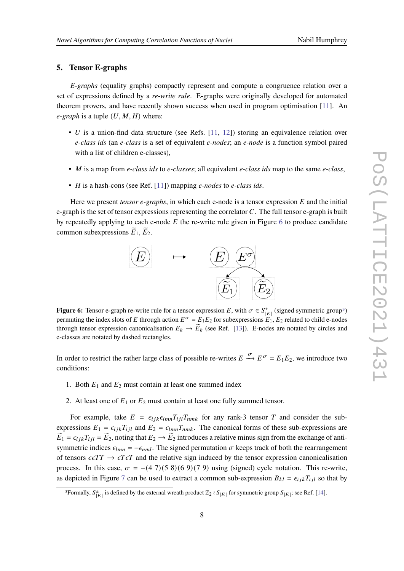# **5. Tensor E-graphs**

*E-graphs* (equality graphs) compactly represent and compute a congruence relation over a set of expressions defined by a *re-write rule*. E-graphs were originally developed for automated theorem provers, and have recently shown success when used in program optimisation [\[11\]](#page-10-2). An  $e$ -graph is a tuple  $(U, M, H)$  where:

- $U$  is a union-find data structure (see Refs. [\[11,](#page-10-2) [12\]](#page-10-3)) storing an equivalence relation over *e-class ids* (an *e-class* is a set of equivalent *e-nodes*; an *e-node* is a function symbol paired with a list of children e-classes),
- *M* is a map from *e-class ids* to *e-classes*; all equivalent *e-class ids* map to the same *e-class*,
- *H* is a hash-cons (see Ref. [\[11\]](#page-10-2)) mapping *e-nodes* to *e-class ids*.

<span id="page-7-0"></span>Here we present  $tensor$   $e$ -graphs, in which each  $e$ -node is a tensor expression  $E$  and the initial e-graph is the set of tensor expressions representing the correlator  $C$ . The full tensor e-graph is built by repeatedly applying to each e-node  $E$  the re-write rule given in Figure [6](#page-7-0) to produce candidate common subexpressions  $\widetilde{E}_1$ ,  $\widetilde{E}_2$ .



**Figure 6:** Tensor e-graph re-write rule for a tensor expression E, with  $\sigma \in S_{|E|}^{\pm}$  (signed symmetric group<sup>[3](#page-7-1)</sup>) permuting the index slots of E through action  $E^{\sigma} = E_1 E_2$  for subexpressions  $E_1, E_2$  related to child e-nodes through tensor expression canonicalisation  $E_k \to \widetilde{E}_k$  (see Ref. [\[13\]](#page-10-4)). E-nodes are notated by circles and e-classes are notated by dashed rectangles.

In order to restrict the rather large class of possible re-writes  $E \stackrel{\sigma}{\to} E^{\sigma} = E_1 E_2$ , we introduce two conditions:

- 1. Both  $E_1$  and  $E_2$  must contain at least one summed index
- 2. At least one of  $E_1$  or  $E_2$  must contain at least one fully summed tensor.

For example, take  $E = \epsilon_{ijk} \epsilon_{lmn} T_{ij} T_{nmk}$  for any rank-3 tensor T and consider the subexpressions  $E_1 = \epsilon_{ijk} T_{ijl}$  and  $E_2 = \epsilon_{lmn} T_{nmk}$ . The canonical forms of these sub-expressions are  $\widetilde{E}_1 = \epsilon_{ijk} T_{ijl} = \widetilde{E}_2$ , noting that  $E_2 \to \widetilde{E}_2$  introduces a relative minus sign from the exchange of antisymmetric indices  $\epsilon_{lmn} = -\epsilon_{nml}$ . The signed permutation  $\sigma$  keeps track of both the rearrangement of tensors  $\epsilon \epsilon T T \rightarrow \epsilon T \epsilon T$  and the relative sign induced by the tensor expression canonicalisation process. In this case,  $\sigma = -(4.7)(5.8)(6.9)(7.9)$  using (signed) cycle notation. This re-write, as depicted in Figure [7](#page-8-0) can be used to extract a common sub-expression  $B_{kl} = \epsilon_{ijk} T_{ijl}$  so that by

<span id="page-7-1"></span><sup>&</sup>lt;sup>3</sup>Formally,  $S_{|E|}^{\pm}$  is defined by the external wreath product  $\mathbb{Z}_2 \wr S_{|E|}$  for symmetric group  $S_{|E|}$ ; see Ref. [\[14\]](#page-10-5).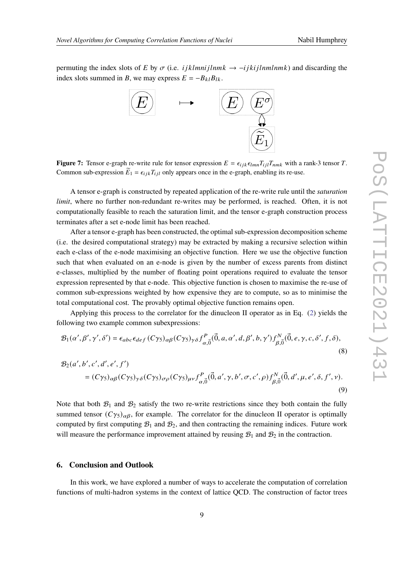<span id="page-8-0"></span>permuting the index slots of E by  $\sigma$  (i.e. *i jklmni jlnmk*  $\rightarrow$  -*i jki jlnmlnmk*) and discarding the index slots summed in *B*, we may express  $E = -B_{kl}B_{lk}$ .



**Figure 7:** Tensor e-graph re-write rule for tensor expression  $E = \epsilon_{ijk} \epsilon_{lmn} T_{ij} T_{nmk}$  with a rank-3 tensor T. Common sub-expression  $\tilde{E}_1 = \epsilon_{ijk} T_{ij}$  only appears once in the e-graph, enabling its re-use.

A tensor e-graph is constructed by repeated application of the re-write rule until the *saturation limit*, where no further non-redundant re-writes may be performed, is reached. Often, it is not computationally feasible to reach the saturation limit, and the tensor e-graph construction process terminates after a set e-node limit has been reached.

After a tensor e-graph has been constructed, the optimal sub-expression decomposition scheme (i.e. the desired computational strategy) may be extracted by making a recursive selection within each e-class of the e-node maximising an objective function. Here we use the objective function such that when evaluated on an e-node is given by the number of excess parents from distinct e-classes, multiplied by the number of floating point operations required to evaluate the tensor expression represented by that e-node. This objective function is chosen to maximise the re-use of common sub-expressions weighted by how expensive they are to compute, so as to minimise the total computational cost. The provably optimal objective function remains open.

Applying this process to the correlator for the dinucleon II operator as in Eq. [\(2\)](#page-1-0) yields the following two example common subexpressions:

$$
\mathcal{B}_1(\alpha', \beta', \gamma', \delta') = \epsilon_{abc} \epsilon_{def} (C\gamma_5)_{\alpha\beta} (C\gamma_5)_{\gamma\delta} f^P_{\alpha, \vec{0}}(\vec{0}, a, \alpha', d, \beta', b, \gamma') f^N_{\beta, \vec{0}}(\vec{0}, e, \gamma, c, \delta', f, \delta),
$$
  
\n
$$
\mathcal{B}_2(\alpha', b', c', d', e', f')
$$
\n(8)

$$
= (C\gamma_5)_{\alpha\beta} (C\gamma_5)_{\gamma\delta} (C\gamma_5)_{\sigma\rho} (C\gamma_5)_{\mu\nu} f^P_{\alpha,\vec{0}}(\vec{0},a',\gamma,b',\sigma,c',\rho) f^N_{\beta,\vec{0}}(\vec{0},d',\mu,e',\delta,f',\nu). \tag{9}
$$

Note that both  $\mathcal{B}_1$  and  $\mathcal{B}_2$  satisfy the two re-write restrictions since they both contain the fully summed tensor  $(C\gamma_5)_{\alpha\beta}$ , for example. The correlator for the dinucleon II operator is optimally computed by first computing  $\mathcal{B}_1$  and  $\mathcal{B}_2$ , and then contracting the remaining indices. Future work will measure the performance improvement attained by reusing  $B_1$  and  $B_2$  in the contraction.

# **6. Conclusion and Outlook**

In this work, we have explored a number of ways to accelerate the computation of correlation functions of multi-hadron systems in the context of lattice QCD. The construction of factor trees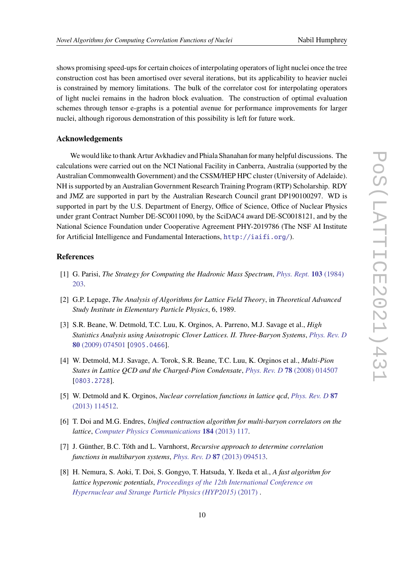shows promising speed-ups for certain choices of interpolating operators of light nuclei once the tree construction cost has been amortised over several iterations, but its applicability to heavier nuclei is constrained by memory limitations. The bulk of the correlator cost for interpolating operators of light nuclei remains in the hadron block evaluation. The construction of optimal evaluation schemes through tensor e-graphs is a potential avenue for performance improvements for larger nuclei, although rigorous demonstration of this possibility is left for future work.

#### **Acknowledgements**

We would like to thank Artur Avkhadiev and Phiala Shanahan for many helpful discussions. The calculations were carried out on the NCI National Facility in Canberra, Australia (supported by the Australian Commonwealth Government) and the CSSM/HEP HPC cluster (University of Adelaide). NH is supported by an Australian Government Research Training Program (RTP) Scholarship. RDY and JMZ are supported in part by the Australian Research Council grant DP190100297. WD is supported in part by the U.S. Department of Energy, Office of Science, Office of Nuclear Physics under grant Contract Number DE-SC0011090, by the SciDAC4 award DE-SC0018121, and by the National Science Foundation under Cooperative Agreement PHY-2019786 (The NSF AI Institute for Artificial Intelligence and Fundamental Interactions, <http://iaifi.org/>).

# **References**

- <span id="page-9-0"></span>[1] G. Parisi, *The Strategy for Computing the Hadronic Mass Spectrum*, *[Phys. Rept.](https://doi.org/10.1016/0370-1573(84)90081-4)* **103** (1984) [203.](https://doi.org/10.1016/0370-1573(84)90081-4)
- [2] G.P. Lepage, *The Analysis of Algorithms for Lattice Field Theory*, in *Theoretical Advanced Study Institute in Elementary Particle Physics*, 6, 1989.
- <span id="page-9-1"></span>[3] S.R. Beane, W. Detmold, T.C. Luu, K. Orginos, A. Parreno, M.J. Savage et al., *High Statistics Analysis using Anisotropic Clover Lattices. II. Three-Baryon Systems*, *[Phys. Rev. D](https://doi.org/10.1103/PhysRevD.80.074501)* **80** [\(2009\) 074501](https://doi.org/10.1103/PhysRevD.80.074501) [[0905.0466](https://arxiv.org/abs/0905.0466)].
- <span id="page-9-2"></span>[4] W. Detmold, M.J. Savage, A. Torok, S.R. Beane, T.C. Luu, K. Orginos et al., *Multi-Pion States in Lattice QCD and the Charged-Pion Condensate*, *Phys. Rev. D* **78** [\(2008\) 014507](https://doi.org/10.1103/PhysRevD.78.014507) [[0803.2728](https://arxiv.org/abs/0803.2728)].
- <span id="page-9-3"></span>[5] W. Detmold and K. Orginos, *Nuclear correlation functions in lattice qcd*, *[Phys. Rev. D](https://doi.org/10.1103/PhysRevD.87.114512)* **87** [\(2013\) 114512.](https://doi.org/10.1103/PhysRevD.87.114512)
- <span id="page-9-5"></span>[6] T. Doi and M.G. Endres, *Unified contraction algorithm for multi-baryon correlators on the lattice*, *[Computer Physics Communications](https://doi.org/https://doi.org/10.1016/j.cpc.2012.09.004)* **184** (2013) 117.
- [7] J. Günther, B.C. Tóth and L. Varnhorst, *Recursive approach to determine correlation functions in multibaryon systems*, *Phys. Rev. D* **87** [\(2013\) 094513.](https://doi.org/10.1103/PhysRevD.87.094513)
- <span id="page-9-4"></span>[8] H. Nemura, S. Aoki, T. Doi, S. Gongyo, T. Hatsuda, Y. Ikeda et al., *A fast algorithm for lattice hyperonic potentials*, *[Proceedings of the 12th International Conference on](https://doi.org/10.7566/jpscp.17.052002) [Hypernuclear and Strange Particle Physics \(HYP2015\)](https://doi.org/10.7566/jpscp.17.052002)* (2017) .